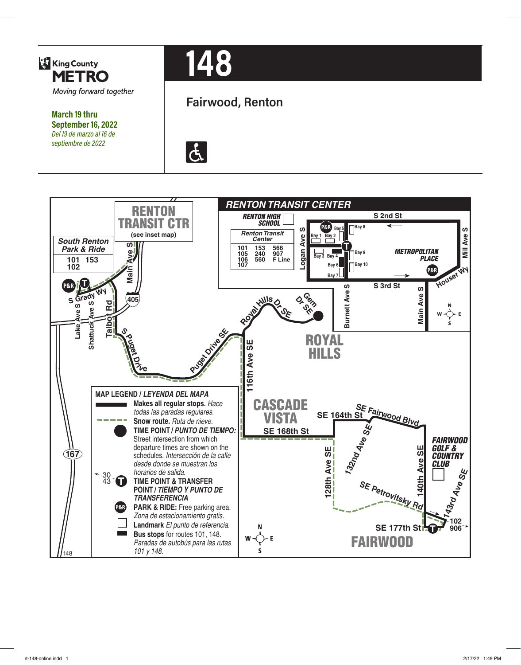

**March 19 thru September 16, 2022** *Del 19 de marzo al 16 de septiembre de 2022*

# **148**

# **Fairwood, Renton**



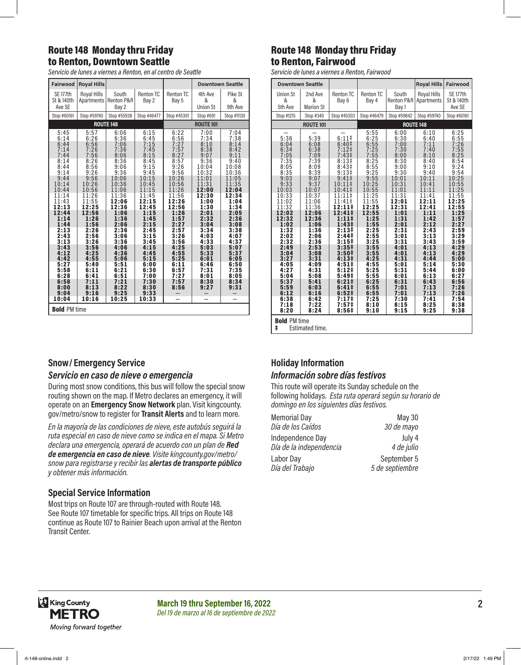#### Route 148 Monday thru Friday to Renton, Downtown Seattle

*Servicio de lunes a viernes a Renton, en al centro de Seattle*

| <b>Fairwood</b>                                                                                                                                                                                                                                     | <b>Royal Hills</b>                                                                                                                                                                                                                                  |                                                                                                                                                                                                                                                     |                                                                                                                                                                                                                                                     |                                                                                                                                                                                                                                    | <b>Downtown Seattle</b>                                                                                                                                                                                                            |                                                                                                                                                                                                                                    |
|-----------------------------------------------------------------------------------------------------------------------------------------------------------------------------------------------------------------------------------------------------|-----------------------------------------------------------------------------------------------------------------------------------------------------------------------------------------------------------------------------------------------------|-----------------------------------------------------------------------------------------------------------------------------------------------------------------------------------------------------------------------------------------------------|-----------------------------------------------------------------------------------------------------------------------------------------------------------------------------------------------------------------------------------------------------|------------------------------------------------------------------------------------------------------------------------------------------------------------------------------------------------------------------------------------|------------------------------------------------------------------------------------------------------------------------------------------------------------------------------------------------------------------------------------|------------------------------------------------------------------------------------------------------------------------------------------------------------------------------------------------------------------------------------|
| SE 177th<br>St & 140th<br>Ave SE                                                                                                                                                                                                                    | Royal Hills<br>Apartments                                                                                                                                                                                                                           | South<br>Renton P&R<br>Bay 2                                                                                                                                                                                                                        | Renton TC<br>Bay 2                                                                                                                                                                                                                                  | <b>Renton TC</b><br>Bay 5                                                                                                                                                                                                          | 4th Ave<br>&<br><b>Union St</b>                                                                                                                                                                                                    | Pike St<br>&<br>9th Ave                                                                                                                                                                                                            |
| Stop #60161                                                                                                                                                                                                                                         | Stop #59740                                                                                                                                                                                                                                         | Stop #55938                                                                                                                                                                                                                                         | Stop #46477                                                                                                                                                                                                                                         | Stop #45301                                                                                                                                                                                                                        | Stop #691                                                                                                                                                                                                                          | Stop #11130                                                                                                                                                                                                                        |
|                                                                                                                                                                                                                                                     |                                                                                                                                                                                                                                                     | <b>ROUTE 148</b>                                                                                                                                                                                                                                    |                                                                                                                                                                                                                                                     | <b>ROUTE 101</b>                                                                                                                                                                                                                   |                                                                                                                                                                                                                                    |                                                                                                                                                                                                                                    |
| 5:45<br>6:14<br>6:44<br>7:14<br>7:44<br>8:14<br>8:44<br>9:14<br>9:44<br>10:14<br>10:44<br>11:14<br>11:43<br>12:13<br>12:44<br>1:14<br>1:44<br>2:13<br>2:43<br>3:13<br>3:43<br>4:12<br>4:42<br>5:27<br>5:58<br>6:28<br>6:58<br>8:00<br>9:04<br>10:04 | 5:57<br>6:26<br>6:56<br>7:26<br>7:56<br>8:26<br>8:56<br>9:26<br>9:56<br>10:26<br>10:56<br>11:26<br>11:55<br>12:25<br>12:56<br>1:26<br>1:56<br>2:26<br>2:56<br>3:26<br>3:56<br>4:25<br>4:55<br>5:40<br>6:11<br>6:41<br>7:11<br>8:13<br>9:16<br>10:16 | 6:06<br>6:36<br>7:06<br>7:36<br>8:06<br>8:36<br>9:06<br>9:36<br>10:06<br>10:36<br>11:06<br>11:36<br>12:06<br>12:36<br>1:06<br>1:36<br>2:06<br>2:36<br>3:06<br>3:36<br>4:06<br>4:36<br>5:06<br>5:51<br>6:21<br>6:51<br>7:21<br>8:22<br>9:25<br>10:25 | 6:15<br>6:45<br>7:15<br>7:45<br>8:15<br>8:45<br>9:15<br>9:45<br>10:15<br>10:45<br>11:15<br>11:45<br>12:15<br>12:45<br>1:15<br>1:45<br>2:15<br>2:45<br>3:15<br>3:45<br>4:15<br>4:45<br>5:15<br>6:00<br>6:30<br>7:00<br>7:30<br>8:30<br>9:33<br>10:33 | 6:22<br>6:56<br>7:27<br>7:57<br>8:27<br>8:57<br>9:26<br>9:56<br>10:26<br>10:56<br>11:26<br>11:56<br>12:26<br>12:56<br>1:26<br>1:57<br>2:27<br>2:57<br>3:26<br>3:56<br>4:25<br>4:55<br>5:25<br>6:11<br>6:57<br>7:27<br>7:57<br>8:56 | 7:00<br>7:34<br>8:10<br>8:38<br>9:07<br>9:36<br>10:04<br>10:32<br>11:01<br>11:31<br>12:00<br>12:30<br>1:00<br>1:30<br>2:01<br>2:32<br>3:04<br>3:34<br>4:03<br>4:33<br>5:03<br>5:33<br>6:01<br>6:46<br>7:31<br>8:01<br>8:30<br>9:27 | 7:04<br>7:38<br>8:14<br>8:42<br>9:11<br>9:40<br>10:08<br>10:36<br>11:05<br>11:35<br>12:04<br>12:34<br>1:04<br>1:34<br>2:05<br>2:36<br>3:08<br>3:38<br>4:07<br>4:37<br>5:07<br>5:37<br>6:05<br>6:50<br>7:35<br>8:05<br>8:34<br>9:31 |
| <b>Bold PM time</b>                                                                                                                                                                                                                                 |                                                                                                                                                                                                                                                     |                                                                                                                                                                                                                                                     |                                                                                                                                                                                                                                                     |                                                                                                                                                                                                                                    |                                                                                                                                                                                                                                    |                                                                                                                                                                                                                                    |

#### **Snow/ Emergency Service**

#### *Servicio en caso de nieve o emergencia*

During most snow conditions, this bus will follow the special snow routing shown on the map. If Metro declares an emergency, it will operate on an **Emergency Snow Network** plan. Visit kingcounty. gov/metro/snow to register for **Transit Alerts** and to learn more.

*En la mayoría de las condiciones de nieve, este autobús seguirá la ruta especial en caso de nieve como se indica en el mapa. Si Metro declara una emergencia, operará de acuerdo con un plan de Red de emergencia en caso de nieve. Visite kingcounty.gov/metro/ snow para registrarse y recibir las alertas de transporte público y obtener más información.*

#### **Special Service Information**

Most trips on Route 107 are through-routed with Route 148. See Route 107 timetable for specific trips. All trips on Route 148 continue as Route 107 to Rainier Beach upon arrival at the Renton Transit Center.

#### Route 148 Monday thru Friday to Renton, Fairwood

*Servicio de lunes a viernes a Renton, Fairwood*

| <b>Downtown Seattle</b>                                                                                                                                                                                                                                    |                                                                                                                                                                                                                                                            |                                                                                                                                                                                                                                                                                                                                                                                                                                         |                                                                                                                                                                                                                                                                    |                                                                                                                                                                                                                                                                    | <b>Royal Hills</b>                                                                                                                                                                                                                                                 | Fairwood                                                                                                                                                                                                                                                           |
|------------------------------------------------------------------------------------------------------------------------------------------------------------------------------------------------------------------------------------------------------------|------------------------------------------------------------------------------------------------------------------------------------------------------------------------------------------------------------------------------------------------------------|-----------------------------------------------------------------------------------------------------------------------------------------------------------------------------------------------------------------------------------------------------------------------------------------------------------------------------------------------------------------------------------------------------------------------------------------|--------------------------------------------------------------------------------------------------------------------------------------------------------------------------------------------------------------------------------------------------------------------|--------------------------------------------------------------------------------------------------------------------------------------------------------------------------------------------------------------------------------------------------------------------|--------------------------------------------------------------------------------------------------------------------------------------------------------------------------------------------------------------------------------------------------------------------|--------------------------------------------------------------------------------------------------------------------------------------------------------------------------------------------------------------------------------------------------------------------|
| Union St<br>&<br>5th Ave                                                                                                                                                                                                                                   | 2nd Ave<br>&<br><b>Marion St</b>                                                                                                                                                                                                                           | <b>Renton TC</b><br>Bay 6                                                                                                                                                                                                                                                                                                                                                                                                               | Renton TC<br>Bay 4                                                                                                                                                                                                                                                 | South<br><b>Renton P&amp;R</b><br>Bay 1                                                                                                                                                                                                                            | <b>Royal Hills</b><br>Apartments                                                                                                                                                                                                                                   | <b>SE 177th</b><br>St & 140th<br>Ave SE                                                                                                                                                                                                                            |
| Stop #1215                                                                                                                                                                                                                                                 | Stop #340                                                                                                                                                                                                                                                  | Stop #45303                                                                                                                                                                                                                                                                                                                                                                                                                             | Stop #46479                                                                                                                                                                                                                                                        | Stop #59842                                                                                                                                                                                                                                                        | Stop #59740                                                                                                                                                                                                                                                        | Stop #60161                                                                                                                                                                                                                                                        |
|                                                                                                                                                                                                                                                            | <b>ROUTE 101</b>                                                                                                                                                                                                                                           |                                                                                                                                                                                                                                                                                                                                                                                                                                         | <b>ROUTE 148</b>                                                                                                                                                                                                                                                   |                                                                                                                                                                                                                                                                    |                                                                                                                                                                                                                                                                    |                                                                                                                                                                                                                                                                    |
| 5:36<br>6:04<br>6:34<br>7:05<br>7:35<br>8:05<br>8:35<br>9:03<br>9:33<br>10:03<br>10:33<br>11:02<br>11:32<br>12:02<br>12:32<br>1:02<br>1:32<br>2:02<br>2:32<br>2:49<br>3:04<br>3:27<br>4:05<br>4:27<br>5:04<br>5:37<br>5:59<br>6:12<br>6:38<br>7:18<br>8:20 | 5:39<br>6:08<br>6:38<br>7:09<br>7:39<br>8:09<br>8:39<br>9:07<br>9:37<br>10:07<br>10:37<br>11:06<br>11:36<br>12:06<br>12:36<br>1:06<br>1:36<br>2:06<br>2:36<br>2:53<br>3:08<br>3:31<br>4:09<br>4:31<br>5:08<br>5:41<br>6:03<br>6:16<br>6:42<br>7:22<br>8:24 | 6:111<br>6:40 <sup>‡</sup><br>$7:12$ ‡<br>7:43 <sup>‡</sup><br>8:13 <sup>‡</sup><br>8:43 <sup>‡</sup><br>9:13 <sup>‡</sup><br>$9:41 \;$<br>10:11‡<br>$10:41\pm$<br>11:11‡<br>11:41‡<br>12:11‡<br>12:41‡<br>1:111<br>1:43 <sup>‡</sup><br>2:13#<br>2:44‡<br>3:15#<br>3:35 <sup>‡</sup><br>3:50 <sup>‡</sup><br>4:13#<br>$4:51 \;$<br>$5:12$ ‡<br>5:49 <sup>‡</sup><br>$6:21 \;$<br>6:41#<br>6:52 <sup>‡</sup><br>7:17‡<br>7:57‡<br>8:56# | 5:55<br>6:25<br>6:55<br>7:25<br>7:55<br>8:25<br>8:55<br>9:25<br>9:55<br>10:25<br>10:55<br>11:25<br>11:55<br>12:25<br>12:55<br>1:25<br>1:55<br>2:25<br>2:55<br>3:25<br>3:55<br>3:55<br>4:25<br>4:55<br>5:25<br>5:55<br>6:25<br>6:55<br>6:55<br>7:25<br>8:10<br>9:10 | 6:00<br>6:30<br>7:00<br>7:30<br>8:00<br>8:30<br>9:00<br>9:30<br>10:01<br>10:31<br>11:01<br>11:31<br>12:01<br>12:31<br>1:01<br>1:31<br>2:01<br>2:31<br>3:01<br>3:31<br>4:01<br>4:01<br>4:31<br>5:01<br>5:31<br>6:01<br>6:31<br>7:01<br>7:01<br>7:30<br>8:15<br>9:15 | 6:10<br>6:40<br>7:11<br>7:40<br>8:10<br>8:40<br>9:10<br>9:40<br>10:11<br>10:41<br>11:11<br>11:41<br>12:11<br>12:41<br>1:11<br>1:42<br>2:12<br>2:43<br>3:13<br>3:43<br>4:13<br>4:13<br>4:44<br>5:14<br>5:44<br>6:13<br>6:43<br>7:13<br>7:13<br>7:41<br>8:25<br>9:25 | 6:25<br>6:55<br>7:26<br>7:55<br>8:25<br>8:54<br>9:24<br>9:54<br>10:25<br>10:55<br>11:25<br>11:55<br>12:25<br>12:55<br>1:25<br>1:57<br>2:27<br>2:59<br>3:29<br>3:59<br>4:29<br>4:29<br>5:00<br>5:30<br>6:00<br>6:27<br>6:56<br>7:26<br>7:26<br>7:54<br>8:38<br>9:38 |
| <b>Bold PM time</b>                                                                                                                                                                                                                                        |                                                                                                                                                                                                                                                            |                                                                                                                                                                                                                                                                                                                                                                                                                                         |                                                                                                                                                                                                                                                                    |                                                                                                                                                                                                                                                                    |                                                                                                                                                                                                                                                                    |                                                                                                                                                                                                                                                                    |

‡ Estimated time.

#### **Holiday Information** *Información sobre días festivos*

This route will operate its Sunday schedule on the following holidays. *Esta ruta operará según su horario de domingo en los siguientes días festivos.*

| <b>Memorial Day</b>     | May 30          |
|-------------------------|-----------------|
| Día de los Caídos       | 30 de mayo      |
| Independence Day        | July 4          |
| Día de la independencia | 4 de julio      |
| Labor Day               | September 5     |
| Día del Trabajo         | 5 de septiembre |



**March 19 thru September 16, 2022 2** *Del 19 de marzo al 16 de septiembre de 2022*